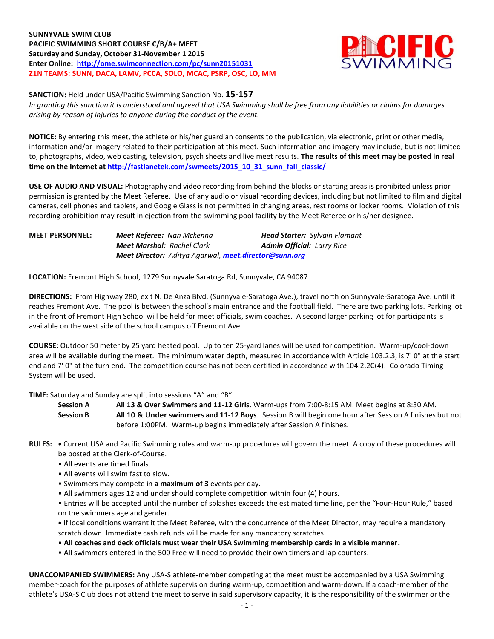**SUNNYVALE SWIM CLUB PACIFIC SWIMMING SHORT COURSE C/B/A+ MEET Saturday and Sunday, October 31-November 1 2015 Enter Online: <http://ome.swimconnection.com/pc/sunn20151031> Z1N TEAMS: SUNN, DACA, LAMV, PCCA, SOLO, MCAC, PSRP, OSC, LO, MM**



**SANCTION:** Held under USA/Pacific Swimming Sanction No. **15-157** *In granting this sanction it is understood and agreed that USA Swimming shall be free from any liabilities or claims for damages arising by reason of injuries to anyone during the conduct of the event.*

**NOTICE:** By entering this meet, the athlete or his/her guardian consents to the publication, via electronic, print or other media, information and/or imagery related to their participation at this meet. Such information and imagery may include, but is not limited to, photographs, video, web casting, television, psych sheets and live meet results. **The results of this meet may be posted in real time on the Internet a[t http://fastlanetek.com/swmeets/2015\\_10\\_31\\_sunn\\_fall\\_classic/](http://fastlanetek.com/swmeets/2015_10_31_sunn_fall_classic/)**

**USE OF AUDIO AND VISUAL:** Photography and video recording from behind the blocks or starting areas is prohibited unless prior permission is granted by the Meet Referee. Use of any audio or visual recording devices, including but not limited to film and digital cameras, cell phones and tablets, and Google Glass is not permitted in changing areas, rest rooms or locker rooms. Violation of this recording prohibition may result in ejection from the swimming pool facility by the Meet Referee or his/her designee.

| <b>MEET PERSONNEL:</b> | <b>Meet Referee: Nan Mckenna</b>                             | <b>Head Starter:</b> Sylvain Flamant |
|------------------------|--------------------------------------------------------------|--------------------------------------|
|                        | <b>Meet Marshal:</b> Rachel Clark                            | <b>Admin Official: Larry Rice</b>    |
|                        | <b>Meet Director:</b> Aditya Agarwal, meet.director@sunn.org |                                      |

**LOCATION:** Fremont High School, 1279 Sunnyvale Saratoga Rd, Sunnyvale, CA 94087

**DIRECTIONS:** From Highway 280, exit N. De Anza Blvd. (Sunnyvale-Saratoga Ave.), travel north on Sunnyvale-Saratoga Ave. until it reaches Fremont Ave. The pool is between the school's main entrance and the football field. There are two parking lots. Parking lot in the front of Fremont High School will be held for meet officials, swim coaches. A second larger parking lot for participants is available on the west side of the school campus off Fremont Ave.

**COURSE:** Outdoor 50 meter by 25 yard heated pool. Up to ten 25-yard lanes will be used for competition. Warm-up/cool-down area will be available during the meet. The minimum water depth, measured in accordance with Article 103.2.3, is 7' 0" at the start end and 7' 0" at the turn end. The competition course has not been certified in accordance with 104.2.2C(4). Colorado Timing System will be used.

**TIME:** Saturday and Sunday are split into sessions "A" and "B"

**Session A All 13 & Over Swimmers and 11-12 Girls**. Warm-ups from 7:00-8:15 AM. Meet begins at 8:30 AM. **Session B All 10 & Under swimmers and 11-12 Boys**. Session B will begin one hour after Session A finishes but not before 1:00PM. Warm-up begins immediately after Session A finishes.

- **RULES: •** Current USA and Pacific Swimming rules and warm-up procedures will govern the meet. A copy of these procedures will be posted at the Clerk-of-Course.
	- All events are timed finals.
	- All events will swim fast to slow.
	- Swimmers may compete in **a maximum of 3** events per day.
	- All swimmers ages 12 and under should complete competition within four (4) hours.

• Entries will be accepted until the number of splashes exceeds the estimated time line, per the "Four-Hour Rule," based on the swimmers age and gender.

**•** If local conditions warrant it the Meet Referee, with the concurrence of the Meet Director, may require a mandatory scratch down. Immediate cash refunds will be made for any mandatory scratches.

• **All coaches and deck officials must wear their USA Swimming membership cards in a visible manner.** 

• All swimmers entered in the 500 Free will need to provide their own timers and lap counters.

**UNACCOMPANIED SWIMMERS:** Any USA-S athlete-member competing at the meet must be accompanied by a USA Swimming member-coach for the purposes of athlete supervision during warm-up, competition and warm-down. If a coach-member of the athlete's USA-S Club does not attend the meet to serve in said supervisory capacity, it is the responsibility of the swimmer or the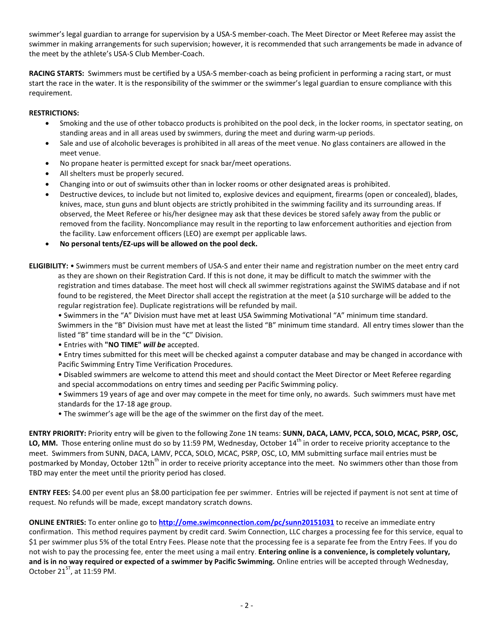swimmer's legal guardian to arrange for supervision by a USA-S member-coach. The Meet Director or Meet Referee may assist the swimmer in making arrangements for such supervision; however, it is recommended that such arrangements be made in advance of the meet by the athlete's USA-S Club Member-Coach.

**RACING STARTS:** Swimmers must be certified by a USA-S member-coach as being proficient in performing a racing start, or must start the race in the water. It is the responsibility of the swimmer or the swimmer's legal guardian to ensure compliance with this requirement.

## **RESTRICTIONS:**

- Smoking and the use of other tobacco products is prohibited on the pool deck, in the locker rooms, in spectator seating, on standing areas and in all areas used by swimmers, during the meet and during warm-up periods.
- Sale and use of alcoholic beverages is prohibited in all areas of the meet venue. No glass containers are allowed in the meet venue.
- No propane heater is permitted except for snack bar/meet operations.
- All shelters must be properly secured.
- Changing into or out of swimsuits other than in locker rooms or other designated areas is prohibited.
- Destructive devices, to include but not limited to, explosive devices and equipment, firearms (open or concealed), blades, knives, mace, stun guns and blunt objects are strictly prohibited in the swimming facility and its surrounding areas. If observed, the Meet Referee or his/her designee may ask that these devices be stored safely away from the public or removed from the facility. Noncompliance may result in the reporting to law enforcement authorities and ejection from the facility. Law enforcement officers (LEO) are exempt per applicable laws.
- **No personal tents/EZ-ups will be allowed on the pool deck.**
- **ELIGIBILITY:** Swimmers must be current members of USA-S and enter their name and registration number on the meet entry card as they are shown on their Registration Card. If this is not done, it may be difficult to match the swimmer with the registration and times database. The meet host will check all swimmer registrations against the SWIMS database and if not found to be registered, the Meet Director shall accept the registration at the meet (a \$10 surcharge will be added to the regular registration fee). Duplicate registrations will be refunded by mail.

• Swimmers in the "A" Division must have met at least USA Swimming Motivational "A" minimum time standard. Swimmers in the "B" Division must have met at least the listed "B" minimum time standard. All entry times slower than the listed "B" time standard will be in the "C" Division.

- Entries with **"NO TIME"** *will be* accepted.
- Entry times submitted for this meet will be checked against a computer database and may be changed in accordance with Pacific Swimming Entry Time Verification Procedures.
- Disabled swimmers are welcome to attend this meet and should contact the Meet Director or Meet Referee regarding and special accommodations on entry times and seeding per Pacific Swimming policy.
- Swimmers 19 years of age and over may compete in the meet for time only, no awards. Such swimmers must have met standards for the 17-18 age group.
- The swimmer's age will be the age of the swimmer on the first day of the meet.

**ENTRY PRIORITY:** Priority entry will be given to the following Zone 1N teams: **SUNN, DACA, LAMV, PCCA, SOLO, MCAC, PSRP, OSC,**  LO, MM. Those entering online must do so by 11:59 PM, Wednesday, October 14<sup>th</sup> in order to receive priority acceptance to the meet. Swimmers from SUNN, DACA, LAMV, PCCA, SOLO, MCAC, PSRP, OSC, LO, MM submitting surface mail entries must be postmarked by Monday, October 12th<sup>th</sup> in order to receive priority acceptance into the meet. No swimmers other than those from TBD may enter the meet until the priority period has closed.

**ENTRY FEES:** \$4.00 per event plus an \$8.00 participation fee per swimmer. Entries will be rejected if payment is not sent at time of request. No refunds will be made, except mandatory scratch downs.

**ONLINE ENTRIES:** To enter online go to **<http://ome.swimconnection.com/pc/sunn20151031>** to receive an immediate entry confirmation. This method requires payment by credit card. Swim Connection, LLC charges a processing fee for this service, equal to \$1 per swimmer plus 5% of the total Entry Fees. Please note that the processing fee is a separate fee from the Entry Fees. If you do not wish to pay the processing fee, enter the meet using a mail entry. **Entering online is a convenience, is completely voluntary, and is in no way required or expected of a swimmer by Pacific Swimming.** Online entries will be accepted through Wednesday, October  $21^{ST}$ , at 11:59 PM.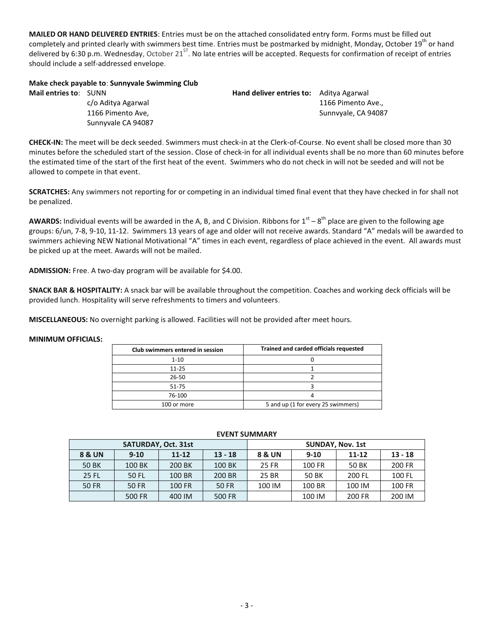**MAILED OR HAND DELIVERED ENTRIES**: Entries must be on the attached consolidated entry form. Forms must be filled out completely and printed clearly with swimmers best time. Entries must be postmarked by midnight, Monday, October 19<sup>th</sup> or hand delivered by 6:30 p.m. Wednesday, October 21<sup>ST</sup>. No late entries will be accepted. Requests for confirmation of receipt of entries should include a self-addressed envelope.

### **Make check payable to**: **Sunnyvale Swimming Club**

Sunnyvale CA 94087

**Mail entries to:** SUNN **Hand deliver entries to:** Aditya Agarwal c/o Aditya Agarwal 1166 Pimento Ave., 1166 Pimento Ave, Sunnvyale, CA 94087

**CHECK-IN:** The meet will be deck seeded. Swimmers must check-in at the Clerk-of-Course. No event shall be closed more than 30 minutes before the scheduled start of the session. Close of check-in for all individual events shall be no more than 60 minutes before the estimated time of the start of the first heat of the event. Swimmers who do not check in will not be seeded and will not be allowed to compete in that event.

**SCRATCHES:** Any swimmers not reporting for or competing in an individual timed final event that they have checked in for shall not be penalized.

AWARDS: Individual events will be awarded in the A, B, and C Division. Ribbons for 1<sup>st</sup> – 8<sup>th</sup> place are given to the following age groups: 6/un, 7-8, 9-10, 11-12. Swimmers 13 years of age and older will not receive awards. Standard "A" medals will be awarded to swimmers achieving NEW National Motivational "A" times in each event, regardless of place achieved in the event. All awards must be picked up at the meet. Awards will not be mailed.

**ADMISSION:** Free. A two-day program will be available for \$4.00.

**SNACK BAR & HOSPITALITY:** A snack bar will be available throughout the competition. Coaches and working deck officials will be provided lunch. Hospitality will serve refreshments to timers and volunteers.

**MISCELLANEOUS:** No overnight parking is allowed. Facilities will not be provided after meet hours.

### **MINIMUM OFFICIALS:**

| Club swimmers entered in session | Trained and carded officials requested |  |  |  |  |
|----------------------------------|----------------------------------------|--|--|--|--|
| $1 - 10$                         |                                        |  |  |  |  |
| $11 - 25$                        |                                        |  |  |  |  |
| 26-50                            |                                        |  |  |  |  |
| 51-75                            |                                        |  |  |  |  |
| 76-100                           |                                        |  |  |  |  |
| 100 or more                      | 5 and up (1 for every 25 swimmers)     |  |  |  |  |

#### **EVENT SUMMARY**

| SATURDAY, Oct. 31st |          |                        |        | <b>SUNDAY, Nov. 1st</b> |          |           |           |  |  |
|---------------------|----------|------------------------|--------|-------------------------|----------|-----------|-----------|--|--|
| <b>8 &amp; UN</b>   | $9 - 10$ | $13 - 18$<br>$11 - 12$ |        | 8 & UN                  | $9 - 10$ | $11 - 12$ | $13 - 18$ |  |  |
| <b>50 BK</b>        | 100 BK   | 200 BK                 | 100 BK | 25 FR                   | 100 FR   | 50 BK     | 200 FR    |  |  |
| <b>25 FL</b>        | 50 FL    | 100 BR                 | 200 BR | 25 BR                   | 50 BK    | 200 FL    | 100 FL    |  |  |
| 50 FR               | 50 FR    | 100 FR                 | 50 FR  | 100 IM                  | 100 BR   | 100 IM    | 100 FR    |  |  |
|                     | 500 FR   | 400 IM                 | 500 FR |                         | 100 IM   | 200 FR    | 200 IM    |  |  |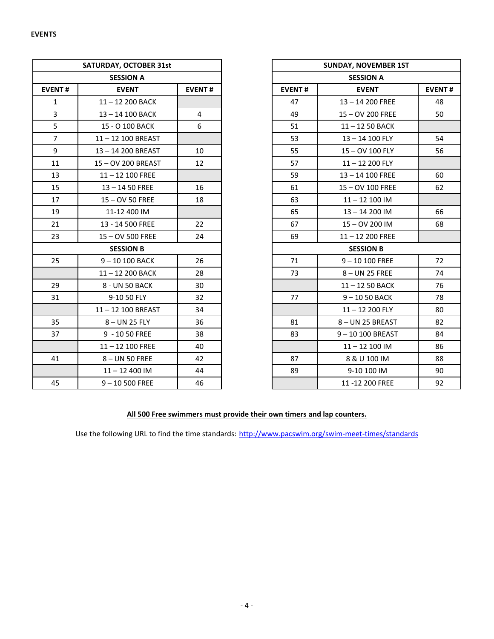| <b>SATURDAY, OCTOBER 31st</b> |                    |                |               | <b>SUNDAY, NOVEMBER 1ST</b> |               |
|-------------------------------|--------------------|----------------|---------------|-----------------------------|---------------|
|                               | <b>SESSION A</b>   |                |               | <b>SESSION A</b>            |               |
| <b>EVENT#</b>                 | <b>EVENT</b>       | <b>EVENT#</b>  | <b>EVENT#</b> | <b>EVENT</b>                | <b>EVENT#</b> |
| $\mathbf{1}$                  | 11-12 200 BACK     |                | 47            | 13-14 200 FREE              | 48            |
| $\overline{3}$                | 13-14 100 BACK     | $\overline{4}$ | 49            | 15 - OV 200 FREE            | 50            |
| 5                             | 15 - O 100 BACK    | 6              | 51            | 11-12 50 BACK               |               |
| $\overline{7}$                | 11-12 100 BREAST   |                | 53            | 13-14 100 FLY               | 54            |
| 9                             | 13-14 200 BREAST   | 10             | 55            | 15-OV 100 FLY               | 56            |
| 11                            | 15-OV 200 BREAST   | 12             | 57            | 11-12 200 FLY               |               |
| 13                            | $11 - 12$ 100 FREE |                | 59            | 13-14 100 FREE              | 60            |
| 15                            | $13 - 1450$ FREE   | 16             | 61            | 15 - OV 100 FREE            | 62            |
| 17                            | 15-OV 50 FREE      | 18             | 63            | $11 - 12$ 100 IM            |               |
| 19                            | 11-12 400 IM       |                | 65            | $13 - 14200$ IM             | 66            |
| 21                            | 13 - 14 500 FREE   | 22             | 67            | 15-0V 200 IM                | 68            |
| 23                            | 15-OV 500 FREE     | 24             | 69            | $11 - 12200$ FREE           |               |
|                               | <b>SESSION B</b>   |                |               | <b>SESSION B</b>            |               |
| 25                            | 9-10 100 BACK      | 26             | 71            | $9 - 10100$ FREE            | 72            |
|                               | 11-12 200 BACK     | 28             | 73            | $8 - UN$ 25 FREE            | 74            |
| 29                            | 8 - UN 50 BACK     | 30             |               | $11 - 1250$ BACK            | 76            |
| 31                            | 9-10 50 FLY        | 32             | 77            | 9-1050 BACK                 | 78            |
|                               | 11-12 100 BREAST   | 34             |               | 11-12 200 FLY               | 80            |
| 35                            | 8-UN 25 FLY        | 36             | 81            | 8-UN 25 BREAST              | 82            |
| 37                            | 9 - 10 50 FREE     | 38             | 83            | 9-10 100 BREAST             | 84            |
|                               | $11 - 12$ 100 FREE | 40             |               | $11 - 12$ 100 IM            | 86            |
| 41                            | 8-UN 50 FREE       | 42             | 87            | 8 & U 100 IM                | 88            |
|                               | $11 - 12400$ IM    | 44             | 89            | 9-10 100 IM                 | 90            |
| 45                            | $9 - 10500$ FREE   | 46             |               | 11-12 200 FREE              | 92            |

|                 | <b>SATURDAY, OCTOBER 31st</b> |                |
|-----------------|-------------------------------|----------------|
|                 | <b>SESSION A</b>              |                |
| NT#             | <b>EVENT</b>                  | <b>EVENT#</b>  |
| 1               | 11-12 200 BACK                |                |
| 3               | 13-14 100 BACK                | $\overline{4}$ |
| 5               | 15 - O 100 BACK               | 6              |
| $\overline{7}$  | 11-12 100 BREAST              |                |
| 9               | 13-14 200 BREAST              | 10             |
| $\overline{1}$  | 15-OV 200 BREAST              | 12             |
| L3              | $11 - 12$ 100 FREE            |                |
| L5              | $13 - 1450$ FREE              | 16             |
| $\overline{17}$ | $15 - OV$ 50 FREE             | 18             |
| L9              | 11-12 400 IM                  |                |
| $\overline{21}$ | 13 - 14 500 FREE              | 22             |
| $^{23}$         | 15 - OV 500 FREE              | 24             |
|                 | <b>SESSION B</b>              |                |
| 25              | 9-10 100 BACK                 | 26             |
|                 | 11-12 200 BACK                | 28             |
| 29              | 8 - UN 50 BACK                | 30             |
| $^{31}$         | 9-10 50 FLY                   | 32             |
|                 | 11-12 100 BREAST              | 34             |
| 35 <sub>1</sub> | 8-UN 25 FLY                   | 36             |
| 37              | 9 - 10 50 FREE                | 38             |
|                 | $11 - 12$ 100 FREE            | 40             |
| $\overline{11}$ | 8-UN 50 FREE                  | 42             |
|                 | $11 - 12400$ IM               | 44             |
| 15              | $9 - 10500$ FREE              | 46             |

# **All 500 Free swimmers must provide their own timers and lap counters.**

Use the following URL to find the time standards: <http://www.pacswim.org/swim-meet-times/standards>